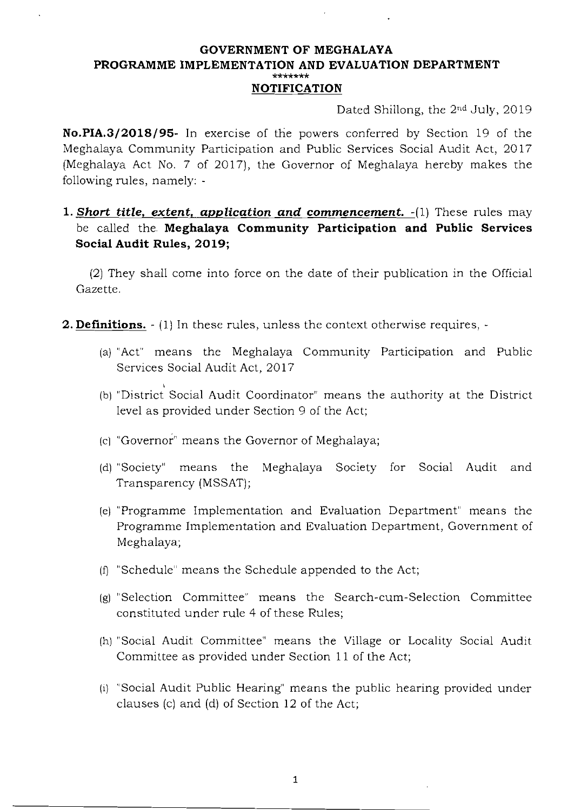#### **GOVERNMENT OF MEGHALAYA PROGRAMME IMPLEMENTATION AND EVALUATION DEPARTMENT \*\*\*\*\*\*\* NOTIFICATION**

Dated Shillong, the 2nd July, 2019

**No.PIA.3/2018/95-** In exercise of the powers conferred by Section 19 of the Meghalaya Community Participation and Public Services Social Audit Act, 2017 (Meghalaya Act No.7 of 2017), the Governor of Meghalaya hereby makes the following rules, namely:

### **1.** *Short title, extent, application and commencement.* -(1) These rules may be called the **Meghalaya Community Participation and Public Services Social Audit Rules, 2019;**

(2) They shall come into force on the date of their publication in the Official Gazette.

- **2. Definitions.**  $\cdot$  (1) In these rules, unless the context otherwise requires,  $\cdot$ 
	- (a) "Act" means the Meghalaya Community Participation and Public Services Social Audit Act, 2017
	- (b) "District Social Audit Coordinator" means the authority at the District level as provided under Section 9 of the Act;
	- $(c)$  "Governor" means the Governor of Meghalaya;
	- (d) "Society" means the Meghalaya Society for Social Audit and Transparency (MSSAT);
	- (e) "Programme Implementation and Evaluation Department" means the Programme Implementation and Evaluation Department, Government of Meghalaya;
	- (f] "Schedule" means the Schedule appended to the Act;
	- (g) "Selection Committee" means the Search-cum-Selection Committee constituted under rule 4 of these Rules;
	- (h) "Social Audit Committee" means the Village or Locality Social Audit Committee as provided under Section 11 of the Act;
	- (i) "Social Audit Public Hearing" means the public hearing provided under clauses (c) and (d) of Section 12 of the Act;

1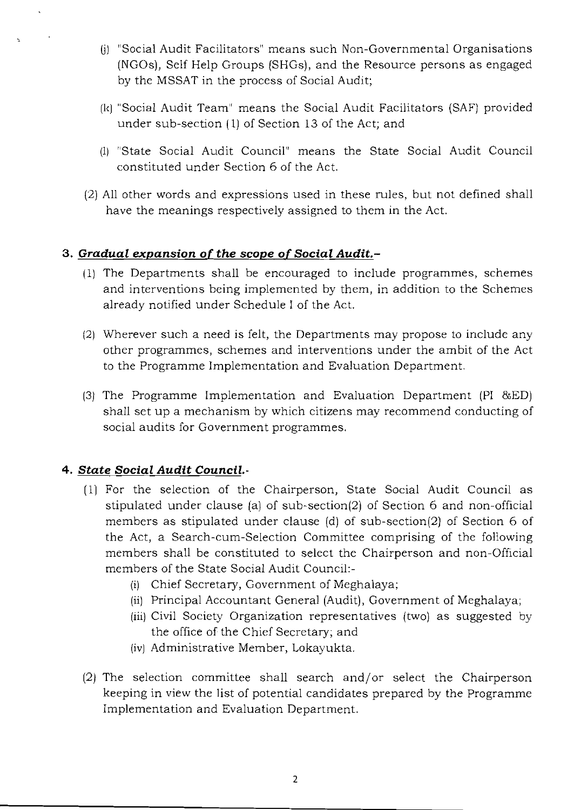- (j) "Social Audit Facilitators" means such Non-Governmental Organisations (NGOs), Self Help Groups (SHGs), and the Resource persons as engaged by the MSSAT in the process of Social Audit;
- (k) "Social Audit Team" means the Social Audit Facilitators (SAF) provided under sub-section (1) of Section 13 of the Act; and
- (1) "State Social Audit Council" means the State Social Audit Council constituted under Section 6 of the Act.
- (2) All other words and expressions used in these rules, but not defined shall have the meanings respectively assigned to them **in** the Act.

### *3. Gradual expansion* **of** *the scope* **of** *Social Audit.*

- (1) The Departments shall be encouraged to include programmes, schemes and interventions being implemented by them, **in** addition to the Schemes already notified under Schedule I of the Act.
- (2) Wherever such a need is felt, the Departments may propose to include any other programmes, schemes and interventions under the ambit of the Act to the Programme Implementation and Evaluation Department.
- (3) The Programme Implementation and Evaluation Department (PI &ED) shall set up a mechanism by which citizens may recommend conducting of social audits for Government programmes.

### *4. State Social Audit Council.*

- $(1)$  For the selection of the Chairperson, State Social Audit Council as stipulated under clause (a) of sub-section(2) of Section 6 and non-official members as stipulated under clause (d) of sub-section(2) of Section 6 of the Act, a Search-cum-Selection Committee comprising of the following members shall be constituted to select the Chairperson and non-Official members of the State Social Audit Council:
	- (i) Chief Secretary, Government of Meghalaya;
	- (ii) Principal Accountant General (Audit), Government of Meghalaya;
	- (iii) Civil Society Organization representatives (two) as suggested by the office of the Chief Secretary; and
	- (iv) Administrative Member, Lokayukta.
- (2) The selection committee shall search and/or select the Chairperson keeping in view the list of potential candidates prepared by the Programme Implementation and Evaluation Department.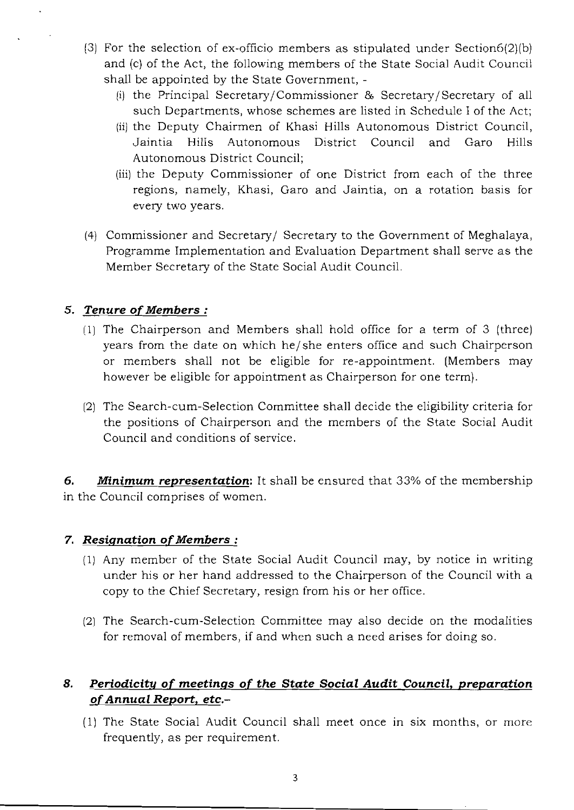- (3) For the selection of ex-officio members as stipulated under Section6(2)(b) and (c) of the Act, the following members of the State Social Audit Council shall be appointed by the State Government,
	- (i) the Principal Secretary/Commissioner & Secretary/Secretary of all such Departments, whose schemes are listed in Schedule I of the Act;
	- (ii) the Deputy Chairmen of Khasi Hills Autonomous District Council, Jaintia Hills Autonomous District Council and Garo Hills Autonomous District Council;
	- (iii) the Deputy Commissioner of one District from each of the three regions, namely, Khasi, Garo and Jaintia, on a rotation basis for every two years.
- (4) Commissioner and Secretary/Secretary to the Government of Meghalaya, Programme Implementation and Evaluation Department shall serve as the Member Secretary of the State Social Audit Council.

### *5. Tenure* of Members **:**

- (1) The Chairperson and Members shall hold office for a term of 3 (three) years from the date on which he/ she enters office and such Chairperson or members shall not be eligible for re-appointment. (Members may however be eligible for appointment as Chairperson for one term).
- 12) The Search-cum-Selection Committee shall decide the eligibility criteria for the positions of Chairperson and the members of the State Social Audit Council and conditions of service.

*6. Minimum representation:* It shaIl be ensured that 33% of the membership in the Council comprises of women.

### *7. Resignation* ofMembers **:**

- (1) Any member of the State Social Audit Council may, by notice in writing under his or her hand addressed to the Chairperson of the Council with a copy to the Chief Secretary, resign from his or her office.
- (2) The Search-cum-Selection Committee may also decide on the modalities for removal of members, if and when such a need arises for doing so.

# *8. Periodicity* **of** *meetings* **of** *the State Social Audit Council, preparation*  ofAnnual *Report, etc.*

(1) The State Social Audit Council shall meet once in six months, or more frequently, as per requirement.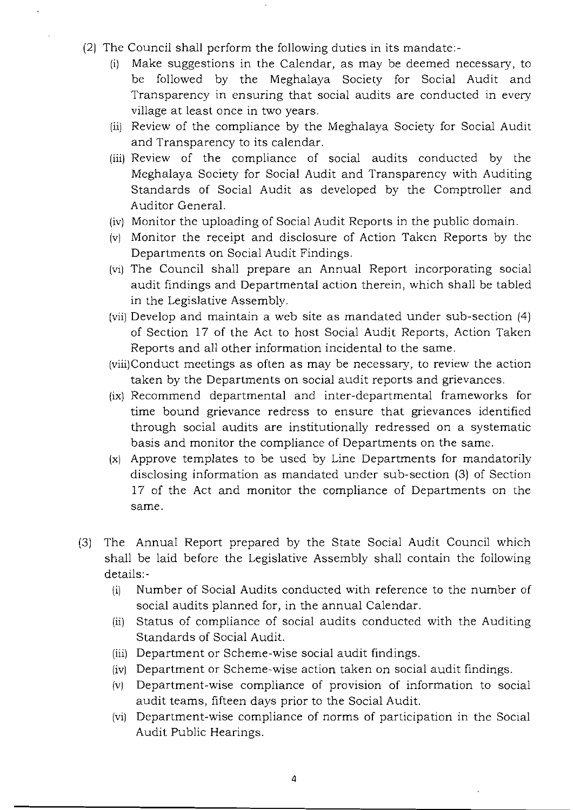- (2) The Council shall perform the following duties in its mandate:-
	- (i) Make suggestions in the Calendar, as may be deemed necessary, to be followed by the Meghalaya Society for Social Audit and Transparency in ensuring that social audits are conducted in every village at least once in two years.
	- (ii) Review of the compliance by the Meghalaya Society for Social Audit and Transparency to its calendar.
	- (iii) Review of the compliance of social audits conducted by the Meghalaya Society for Social Audit and Transparency with Auditing Standards of Social Audit as developed by the Comptroller and Auditor General.
	- (iv) Monitor the uploading of Social Audit Reports in the public domain.
	- (v) Monitor the receipt and disclosure of Action Taken Reports by the Departments on Social Audit Findings.
	- (vi) The Council shall prepare an Annual Report incorporating social audit findings and Departmental action therein, which shall be tabled in the Legislative Assembly.
	- (vii) Develop and maintain a web site as mandated under sub-section (4) of Section 17 of the Act to host Social Audit Reports, Action Taken Reports and all other information incidental to the same.
	- (viii)Conduct meetings as often as may be necessary, to review the action taken by the Departments on social audit reports and grievances.
	- (ix) Recommend departmental and inter-departmental frameworks for time bound grievance redress to ensure that grievances identified through social audits are institutionally redressed on a systematic basis and monitor the compliance of Departments on the same.
	- (x) Approve templates to be used by Line Departments for mandatorily disclosing information as mandated under sub-section (3) of Section 17 of the Act and monitor the compliance of Departments on the same.
- (3) The Annual Report prepared by the State Social Audit Council which shall be laid before the Legislative Assembly shall contain the following details:
	- (i) Number of Social Audits conducted with reference to the number of social audits planned for, in the annual Calendar.
	- (ii) Status of compliance of social audits conducted with the Auditing Standards of Social Audit.
	- (iii) Department or Scheme-wise social audit findings.
	- (iv) Department or Scheme-wise action taken on social audit findings.
	- (v) Department-wise compliance of provision of information to social audit teams, fifteen days prior to the Social Audit.
	- (vi) Department-wise compliance of norms of participation in the Social Audit Public Hearings.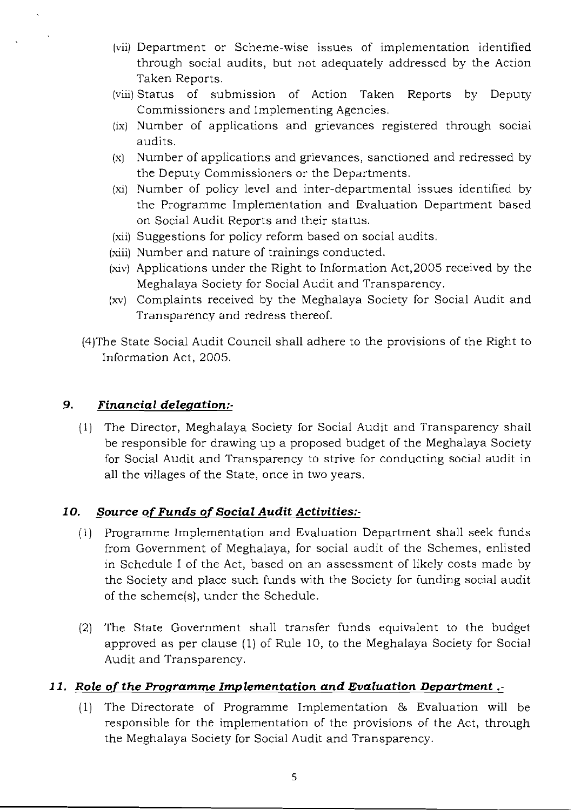- (vii) Department or Scheme-wise issues of implementation identified through social audits, but not adequately addressed by the Action Taken Reports.
- (viii) Status of submission of Action Taken Reports by Deputy Commissioners and Implementing Agencies.
- (ix) Number of applications and grievances registered through social audits.
- $(x)$  Number of applications and grievances, sanctioned and redressed by the Deputy Commissioners or the Departments.
- (xi) Number of policy level and inter-departmental issues identified by the Programme Implementation and Evaluation Department based on Social Audit Reports and their status.
- (xii) Suggestions for policy reform based on social audits.
- (xiii) Number and nature of trainings conducted.
- (xiv) Applications under the Right to Information Act,2005 received by the Meghalaya Society for Social Audit and Transparency.
- (xv) Complaints received by the Meghalaya Society for Social Audit and Transparency and redress thereof.
- (4)The State Social Audit Council shall adhere to the provisions of the Right to Information Act, 2005.

### *9. Financial delegation:*

(1) The Director, Meghalaya Society for Social Audit and Transparency shall be responsible for drawing up a proposed budget of the Meghalaya Society for Social Audit and Transparency to strive for conducting social audit in all the villages of the State, once in two years.

### *10. Source* **of** *Funds* **of** *Social Audit Activities:*

- (1) Programme Implementation and Evaluation Department shall seek funds from Government of Meghalaya, for social audit of the Schemes, enlisted in Schedule I of the Act, based on an assessment of likely costs made by the Society and place such funds with the Society for funding social audit of the scheme(s), under the Schedule.
- (2) The State Government shall transfer funds equivalent to the budget approved as per clause (1) of Rule 10, to the Meghalaya Society for Social Audit and Transparency.

# *11. Role* of *the Programme Implementation and Evaluation Department* .

(1) The Directorate of Programme Implementation  $\&$  Evaluation will be responsible for the implementation of the provisions of the Act, through the Meghalaya Society for Social Audit and Transparency.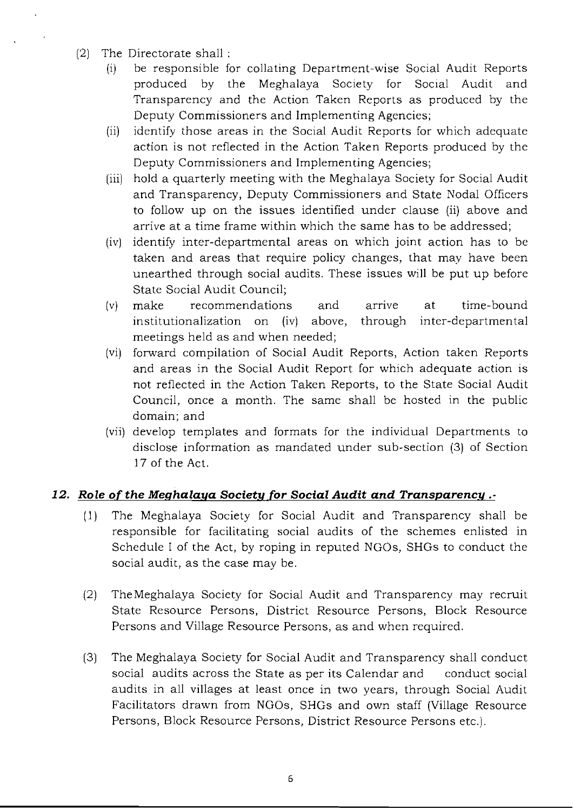- (2) The Directorate shall :
	- (i) be responsible for collating Department-wise Social Audit Reports produced by the Meghalaya Society for Social Audit and Transparency and the Action Taken Reports as produced by the Deputy Commissioners and Implementing Agencies;
	- (ii) identify those areas in the Social Audit Reports for which adequate action is not reflected in the Action Taken Reports produced by the Deputy Commissioners and Implementing Agencies;
	- (iii) hold a quarterly meeting with the Meghalaya Society for Social Audit and Transparency, Deputy Commissioners and State Nodal Officers to follow up on the issues identified under clause (ii) above and arrive at a time frame within which the same has to be addressed;
	- (iv) identify inter-departmental areas on which joint action has to be taken and areas that require policy changes, that may have been unearthed through social audits. These issues will be put up before State Social Audit Council;
	- (v) make recommendations and arnve at time-bound institutionalization on (iv) above, through inter-departmental meetings held as and when needed;
	- (vi) forward compilation of Social Audit Reports, Action taken Reports and areas in the Social Audit Report for which adequate action is not reflected in the Action Taken Reports, to the State Social Audit Council, once a month. The same shall be hosted in the public domain; and
	- (vii) develop templates and formats for the individual Departments to disclose information as mandated under sub-section (3) of Section 17 of the Act.

# 12. Role of the Meghalaya Society for Social Audit and Transparency .-

- (1) The Meghalaya Society for Social Audit and Transparency shall be responsible for facilitating social audits of the schemes enlisted in Schedule I of the Act, by roping in reputed NGOs, SHGs to conduct the social audit, as the case may be.
- (2) TheMeghalaya Society for Social Audit and Transparency may recruit State Resource Persons, District Resource Persons, Block Resource Persons and Village Resource Persons, as and when required.
- (3) The Meghalaya Society for Social Audit and Transparency shall conduct social audits across the State as per its Calendar and conduct social audits in all villages at least once in two years, through Social Audit Facilitators drawn from NGOs, SHGs and own staff (Village Resource Persons, Block Resource Persons, District Resource Persons etc.).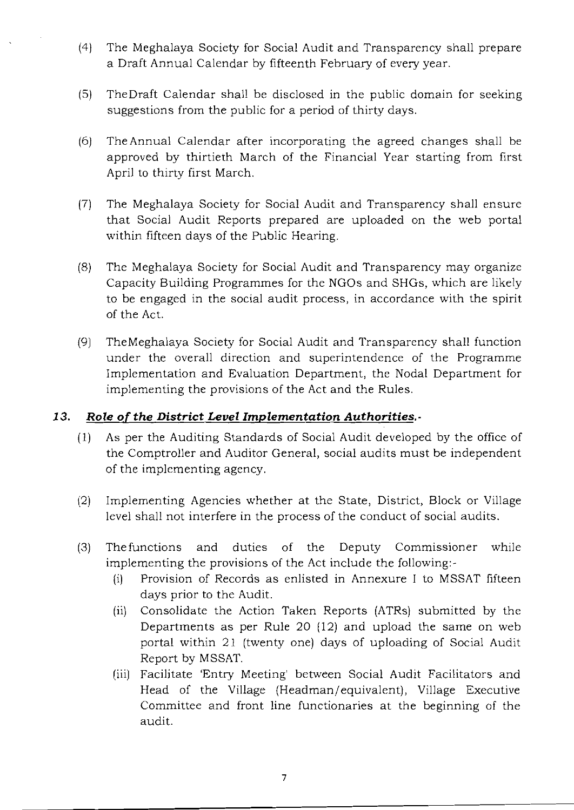- (4) The Meghalaya Society for Social Audit and Transparency shall prepare a Draft Annual Calendar by fifteenth February of every year.
- (5) The Draft Calendar shall be disclosed in the public domain for seeking suggestions from the public for a period of thirty days.
- (6) The Annual Calendar after incorporating the agreed changes shall be approved by thirtieth March of the Financial Year starting from first April to thirty first March.
- (7) The Meghalaya Society for Social Audit and Transparency shall ensure that Social Audit Reports prepared are uploaded on the web portal within fifteen days of the Public Hearing.
- (8) The Meghalaya Society for Social Audit and Transparency may organize Capacity Building Programmes for the NGOs and SHGs, which are likely to be engaged in the social audit process, in accordance with the spirit of the Act.
- (9) TheMeghalaya Society for Social Audit and Transparency shall function under the overall direction and superintendence of the Programme Implementation and Evaluation Department, the Nodal Department for implementing the provisions of the Act and the Rules.

### *13. Role* of *the District Level Implementation Authorities.*

- (1) As per the Auditing Standards of Social Audit developed by the office of the Comptroller and Auditor General, social audits must be independent of the implementing agency.
- (2) Implementing Agencies whether at the State, District, Block or Village level shall not interfere in the process of the conduct of social audits.
- (3) The functions and duties of the Deputy Commissioner while implementing the provisions of the Act include the following:
	- (i) Provision of Records as enlisted in Annexure I to MSSAT fifteen days prior to the Audit.
	- (ii) Consolidate the Action Taken Reports (ATRs) submitted by the Departments as per Rule 20 (12) and upload the same on web portal within 21 (twenty one) days of uploading of Social Audit Report by MSSAT.
	- (iii) Facilitate 'Entry Meeting' between Social Audit Facilitators and Head of the Village (Headman/ equivalent), Village Executive Committee and front line functionaries at the beginning of the audit.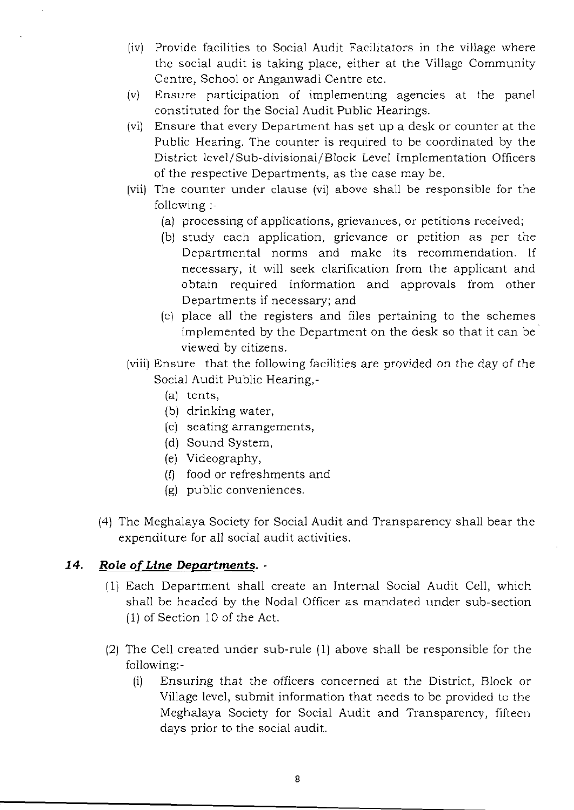- (iv) Provide facilities to Social Audit Facilitators in the village where the social audit is taking place, either at the Village Community Centre, School or Anganwadi Centre etc.
- (v) Ensure participation of implementing agencies at the panel constituted for the Social Audit Public Hearings.
- (vi) Ensure that every Department has set up a desk or counter at the Public Hearing. The counter is required to be coordinated by the District 1cvel/Sub-divisional/Block Level Implementation Officers of the respective Departments, as the case may be.
- [vii) The counter under clause (vi) above shall be responsible for the following:
	- (a) processing of applications, grievances, or petitions received;
	- (b) study each application, grievance or petition as per the Departmental norms and make its recommendation. If necessary, it will seek clarification from the applicant and obtain required information and approvals from other Departments if necessary; and
	- (c) place all the registers and files pertaining to the schemes implemented by the Department on the desk so that it can be viewed by citizens.
- (viii) Ensure that the following facilities are provided on the day of the Social Audit Public Hearing,
	- (a) tents,
	- (b) drinking water,
	- (cl seating arrangements,
	- (d) Sound System,
	- (e) Videography,
	- (f) food or refreshments and
	- (g) public conveniences.
- (4) The Meghalaya Society for Social Audit and Transparency shall bear the expenditure for all social audit activities.

### *14. Role* of *Line Departments.*

- (1) Each Department shall create an Internal Social Audit Cell, which shall be headed by the Nodal Officer as mandated under sub-section  $(1)$  of Section 10 of the Act.
- (2) The Cell created under sub-rule (1) above shall be responsible for the following:
	- (i) Ensuring that the officers concerned at the District, Block or Village level, submit information that needs to be provided to the Meghalaya Society for Social Audit and Transparency, fifteen days prior to the social audit.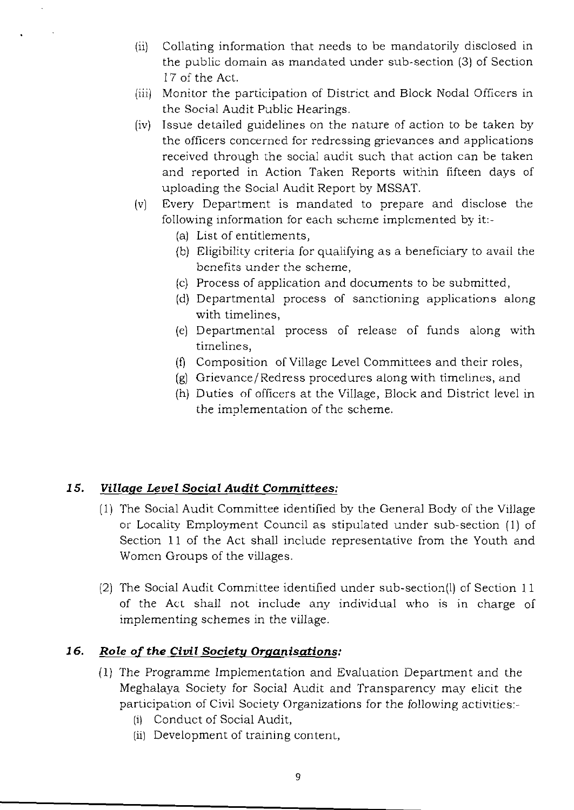- (ii) Collating information that needs to be mandatorily disclosed in the public domain as mandated under sub-section (3) of Section 17 of the Act.
- (iii) Monitor the participation of District and Block Nodal Officers in the Social Audit Public Hearings.
- (iv) Issue detailed guidelines on the nature of action to be taken by the officers concerned for redressing grievances and applications received through the social audit such that action can be taken and reported in Action Taken Reports within fifteen days of uploading the Social Audit Report by MSSAT.
- (v) Every Department is mandated to prepare and disclose the following information for each scheme implemented by it:-
	- (a) List of entitlements,
	- (b) Eligibility criteria for qualifying as a beneficiary to avail the benefits under the scheme,
	- (c) Process of application and documents to be submitted,
	- (d) Departmental process of sanctioning applications along with timelines,
	- (e) Departmental process of release of funds along with timelines,
	- (f) Composition of Village Level Committees and their roles,
	- (g) Grievance/Redress procedures along with timelines, and
	- (h) Duties of officers at the Village, Block and District level in the implementation of the scheme.

### *15. Village Level Social Audit* **Committees:**

- (1) The Social Audit Committee identified by the General Body of the Village or Locality Employment Council as stipulated under sub-section (1) of Section **11** of the Act shall include representative from the Youth and Women Groups of the villages.
- (2) The Social Audit Committee identified under sub-section(l) of Section 11 of the Act shall not include any individual who is in charge of implementing schemes in the village.

### *16. Role* of *the Civil Society Organisations:*

- (1) The Programme Implementation and Evaluation Department and the Meghalaya Society for Social Audit and Transparency may elicit the participation of Civil Society Organizations for the following activities:
	- (i) Conduct of Social Audit,
	- (ii) Development of training content,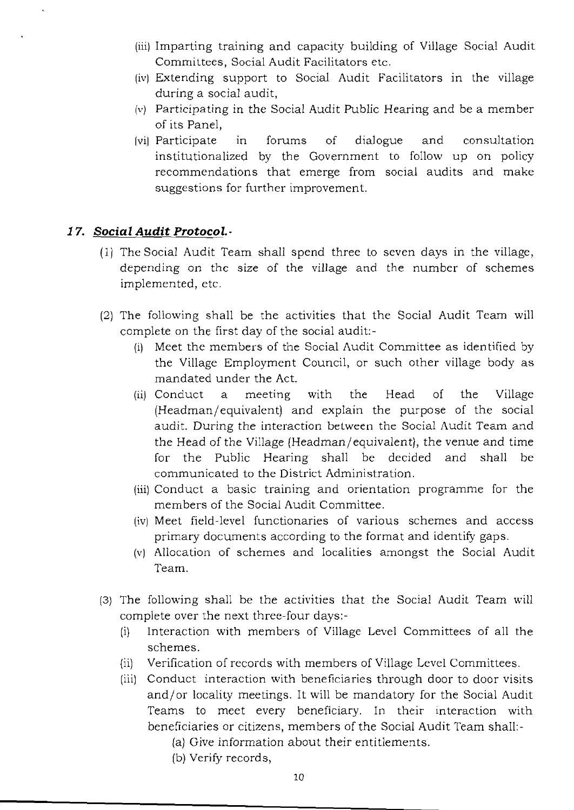- (iii) Imparting training and capacity building of Village Social Audit Committees, Social Audit Facilitators etc.
- (iv) Extending support to Social Audit Facilitators in the village during a social audit,
- (v) Participating in the Social Audit Public Hearing and be a member of its Panel,
- [vi] Participate in forums of dialogue and consultation institutionalized by the Government to follow up on policy recommendations that emerge from social audits and make suggestions for further improvement.

### *17. Social Audit Protocol.*

- (1) The Social Audit Team shall spend three to seven days in the village, depending on the size of the village and the number of schemes implemented, etc.
- (2) The following shall be the activities that the Social Audit Team will complete on the first day of the social audit:
	- (i) Meet the members of the Social Audit Committee as identified by the Village Employment Council, or such other village body as mandated under the Act.
	- (ii) Conduct a meeting with the Head of the Village (Headman/equivalent) and explain the purpose of the social audit. During the interaction between the Social Audit Team and the Head of the Village (Headman/ equivalent), the venue and time for the Public Hearing shall be decided and shall be communicated to the District Administration.
	- (iii) Conduct a basic training and orientation programme for the members of the Social Audit Committee.
	- (iv) Meet field-level functionaries of various schemes and access primary documents according to the format and identify gaps.
	- (v) Allocation of schemes and localities amongst the Social Audit Team.
- (3) The following shall be the activities that the Social Audit Team will complete over the next three-four days:
	- (i) Interaction with members of Village Level Committees of all the schemes.
	- (ii) Verification of records with members of Village Level Committees.
	- (iii) Conduct interaction with beneficiaries through door to door visits and/or locality meetings. It will be mandatory for the Social Audit Teams to meet every beneficiary. In their interaction with beneficiaries or citizens, members of the Social Audit Team shall:
		- (a) Give information about their entitlements.
		- (b) Verify records,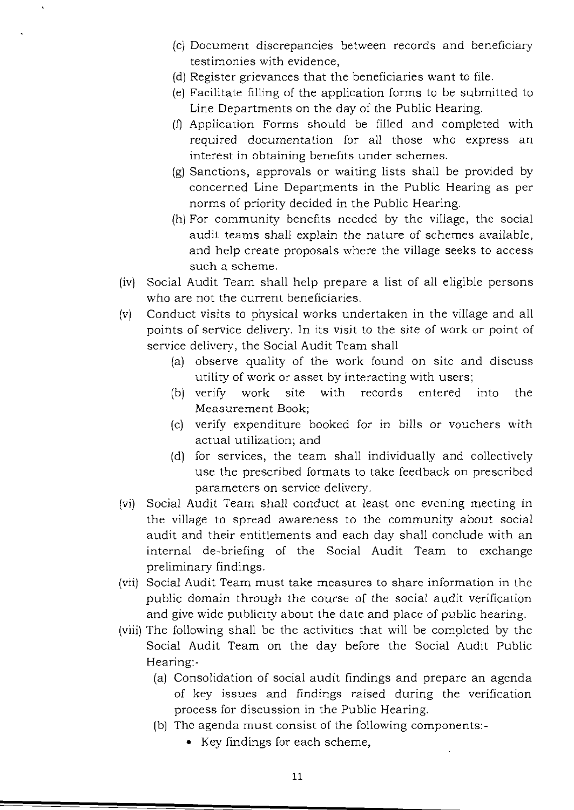- (c) Document discrepancies between records and beneficiary testimonies with evidence,
- (d) Register grievances that the beneficiaries want to file.
- (e) Facilitate filling of the application forms to be submitted to Line Departments on the day of the Public Hearing.
- (1) Application Forms should be filled and completed with required documentation for all those who express an interest in obtaining benefits under schemes.
- (g) Sanctions, approvals or waiting lists shall be provided by concerned Line Departments in the Public Hearing as per norms of priority decided in the Public Hearing.
- $(h)$  For community benefits needed by the village, the social audit teams shall explain the nature of schemes available, and help create proposals where the village seeks to access such a scheme.
- (iv) Social Audit Team shall help prepare a list of all eligible persons who are not the current beneficiaries.
- (v) Conduct visits to physical works undertaken in the village and all points of service delivery. In its visit to the site of work or point of service delivery, the Social Audit Team shall
	- (a) observe quality of the work found on site and discuss utility of work or asset by interacting with users;
	- (b) verify work site with records entered into the Measurement Book;
	- (c) verify expenditure booked for in bills or vouchers with actual utilization; and
	- (d) for services, the team shall individually and collectively use the prescribed formats to take feedback on prescribed parameters on service delivery.
- (vi) Social Audit Team shall conduct at least one evening meeting in the village to spread awareness to the community about socia! audit and their entitlements and each day shall conclude with an internal de-briefing of the Social Audit Team to exchange preliminary findings.
- (vii) Social Audit Team must take measures to share information in the public domain through the course of the social audit verification and give wide publicity about the date and place of public hearing.
- (viii) The following shall be the activities that will be completed by the Social Audit Team on the day before the Social Audit Public Hearing:-
	- (a) Consolidation of social audit findings and prepare an agenda of key issues and findings raised during the verification process for discussion in the Public Hearing.
	- (b) The agenda must consist of the following components:-
		- Key findings for each scheme,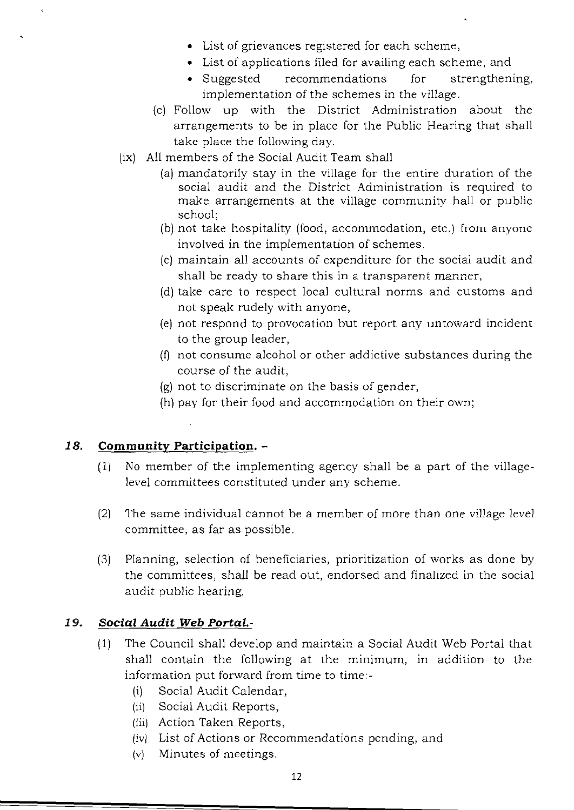- List of grievances registered for each scheme,
- • List of applications filed for availing each scheme, and
- Suggested recommendations for strengthening, implementation of the schemes in the village.
- (c) Follow up with the District Administration about the arrangements to be in place for the Public Hearing that shall take place the following day.
- (ix) All members of the Social Audit Team shall
	- (a) mandatorily stay in the village for the entire duration of the social audit and the District Administration is required to make arrangements at the village community hall or public school;
	- (b) not take hospitality (food, accommodation, etc.) from anyone involved in the implementation of schemes.
	- (c) maintain all accounts of expenditure for the social audit and shall be ready to share this in a transparent manner,
	- (d) take care to respect local cultural norms and customs and not speak rudely with anyone,
	- (e) not respond to provocation but report any untoward incident to the group leader,
	- $(0)$  not consume alcohol or other addictive substances during the course of the audit,
	- $(g)$  not to discriminate on the basis of gender,
	- (h) pay for their food and accommodation on their own;

#### **18. Community Participation.**

- $(1)$  No member of the implementing agency shall be a part of the villagelevel committees constituted under any scheme.
- (2) The same individual cannot be a member of more than one village level committee, as far as possible.
- (3) Planning, selection of beneficiaries, prioritization of works as done by the committees, shall be read out, endorsed and finalized in the social audit public hearing.

#### *19. Social Audit Web Portal.*

- $(1)$  The Council shall develop and maintain a Social Audit Web Portal that shall contain the following at the minimum, in addition to the information put forward from time to time:-
	- (i) Social Audit Calendar,
	- (ii) Social Audit Reports,
	- (iii) Action Taken Reports,
	- (iv) List of Actions or Recommendations pending, and
	- (v) Minutes of meetings.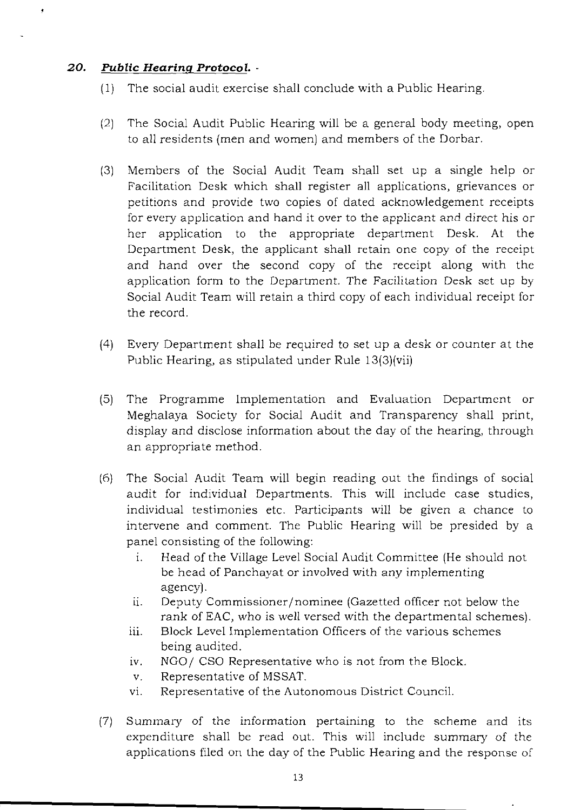### *20. Public Hearing Protocol.*

- $(1)$  The social audit exercise shall conclude with a Public Hearing.
- (2) The Social Audit Public Hearing will be a general body meeting, open to all residents (men and women) and members of the Dorbar.
- (3) Members of the Social Audit Team shall set up a single help or Facilitation Desk which shall register all applications, grievances or petitions and provide two copies of dated acknowledgement receipts for every application and hand it over to the applicant and direct his or her application to the appropriate department Desk. At the Department Desk, the applicant shall retain one copy of the receipt and hand over the second copy of the receipt along with the application form to the Department. The Facililation Desk set up by Social Audit Team will retain a third copy of each individual receipt for the record.
- (4) Every Department shall be required to set up a desk or counter at the Public Hearing, as stipulated under Rule 13(3)(vii)
- (5) The Programme Implementation and Evaluation Department or Meghalaya Society for Social Audit and Transparency shall print, display and disclose information about the day of the hearing, through an appropriate method.
- (6) The Social Audit Team will begin reading out the findings of social audit for individual Departments. This will include case studies, individual testimonies etc. Participants will be given a chance to intervene and comment. The Public Hearing will be presided by a panel consisting of the following:
	- i. Head of the Village Level Social Audit Committee (He should not be head of Panchayat or involved with any implementing agency).
	- ii. Deputy Commissioner/nominee (Gazetted officer not below the rank of EAC, who is well versed with the departmental schemes).
	- iii. Block Level Implementation Officers of the various schemes being audited.
	- iv. NGO/ CSO Representative who is not from the Block.
	- v. Representative of MSSAT.
	- vi. Representative of the Autonomous District Council.
- $(7)$  Summary of the information pertaining to the scheme and its expenditure shall be read out. This will include summary of the applications filed on the day of the Public Hearing and the response of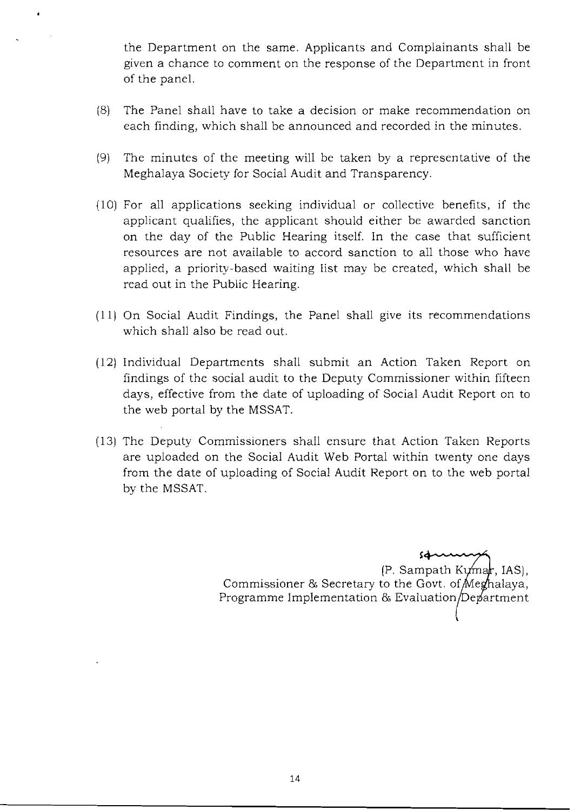the Department on the same. Applicants and Complainants shall be given a chance to comment on the response of the Department in front of the panel.

- (8) The Panel shall have to take a decision or make recommendation on each finding, which shall be announced and recorded in the minutes.
- (9) The minutes of the meeting will be taken by a representative of the Meghalaya Society for Social Audit and Transparency.
- (10) For all applications seeking individual or collective benefits, if the applicant qualifies, the applicant should either be awarded sanction on the day of the Public Hearing itself. In the case that sufficient resources are not available to accord sanction to all those who have applied, a priority-based waiting list may be created, which shall be read out in the Public Hearing.
- (11) On Social Audit Findings, the Panel shall give its recommendations which shall also be read out.
- (12) Individual Departments shall submit an Action Taken Report on findings of the social audit to the Deputy Commissioner within fifteen days, effective from the date of uploading of Social Audit Report on to the web portal by the MSSAT.
- (13) The Deputy Commissioners shall ensure that Action Taken Reports are uploaded on the Social Audit Web Portal within twenty one days from the date of uploading of Social Audit Report on to the web portal by the MSSAT.

s.............""""'~'"  $(P.$  Sampath K $V$ mar, IAS), Commissioner & Secretary to the Govt. of Meghalaya, Programme Implementation & Evaluation/Department